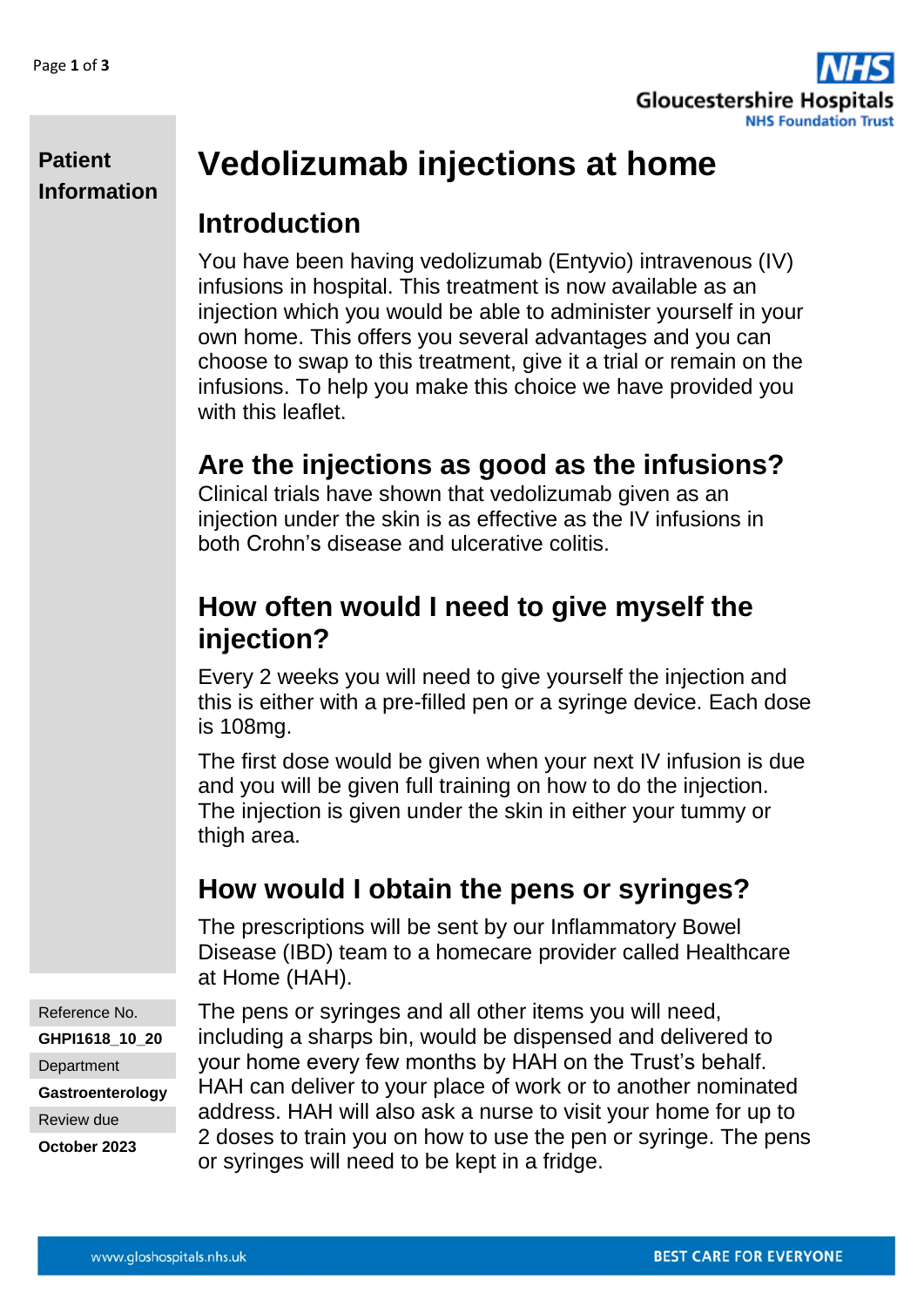

#### **Patient Information**

# **Vedolizumab injections at home**

#### **Introduction**

You have been having vedolizumab (Entyvio) intravenous (IV) infusions in hospital. This treatment is now available as an injection which you would be able to administer yourself in your own home. This offers you several advantages and you can choose to swap to this treatment, give it a trial or remain on the infusions. To help you make this choice we have provided you with this leaflet.

# **Are the injections as good as the infusions?**

Clinical trials have shown that vedolizumab given as an injection under the skin is as effective as the IV infusions in both Crohn's disease and ulcerative colitis.

#### **How often would I need to give myself the injection?**

Every 2 weeks you will need to give yourself the injection and this is either with a pre-filled pen or a syringe device. Each dose is 108mg.

The first dose would be given when your next IV infusion is due and you will be given full training on how to do the injection. The injection is given under the skin in either your tummy or thigh area.

# **How would I obtain the pens or syringes?**

The prescriptions will be sent by our Inflammatory Bowel Disease (IBD) team to a homecare provider called Healthcare at Home (HAH).

Reference No. **GHPI1618\_10\_20 Department Gastroenterology** Review due **October 2023**

The pens or syringes and all other items you will need, including a sharps bin, would be dispensed and delivered to your home every few months by HAH on the Trust's behalf. HAH can deliver to your place of work or to another nominated address. HAH will also ask a nurse to visit your home for up to 2 doses to train you on how to use the pen or syringe. The pens or syringes will need to be kept in a fridge.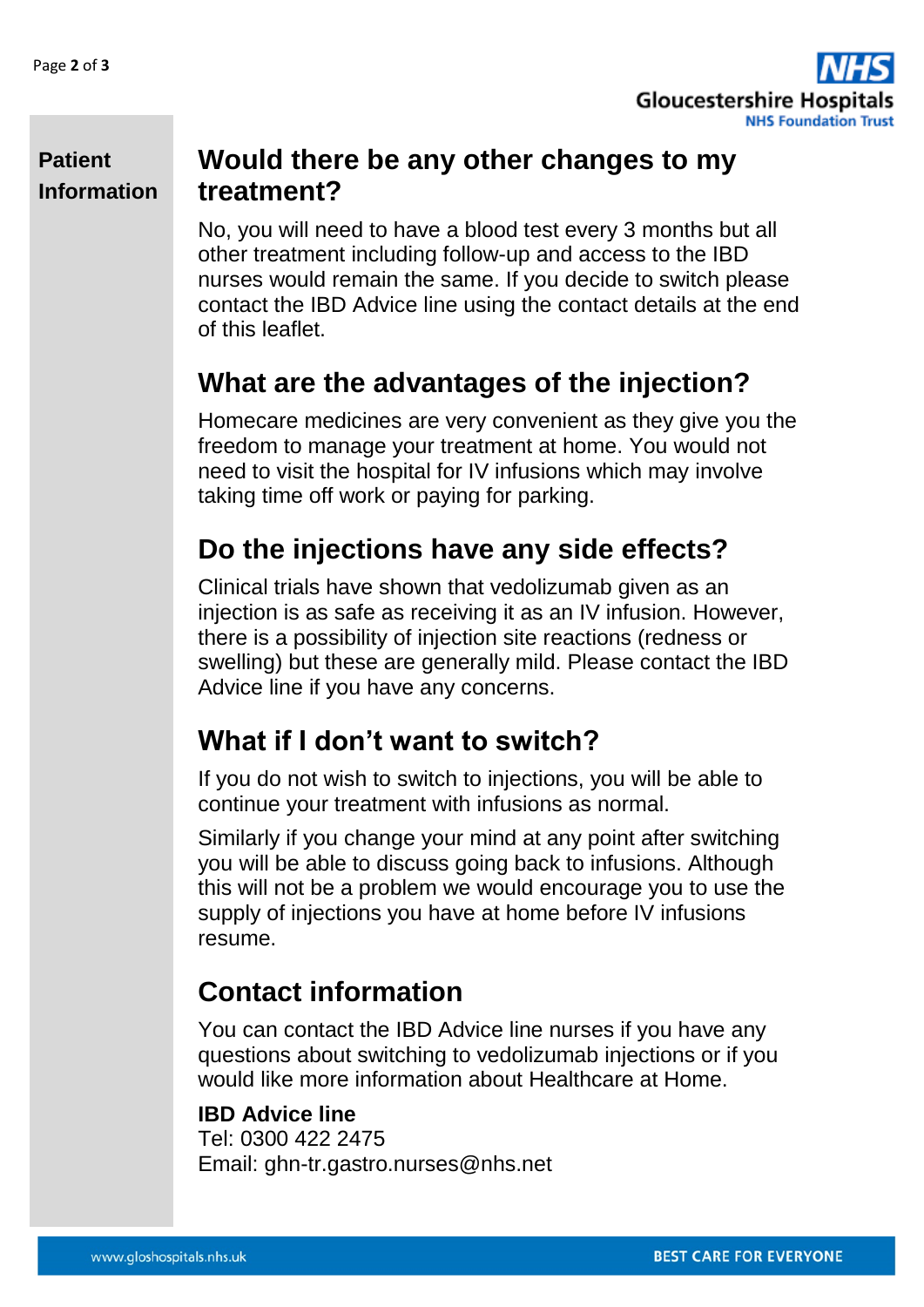

#### **Patient Information**

#### **Would there be any other changes to my treatment?**

No, you will need to have a blood test every 3 months but all other treatment including follow-up and access to the IBD nurses would remain the same. If you decide to switch please contact the IBD Advice line using the contact details at the end of this leaflet.

#### **What are the advantages of the injection?**

Homecare medicines are very convenient as they give you the freedom to manage your treatment at home. You would not need to visit the hospital for IV infusions which may involve taking time off work or paying for parking.

### **Do the injections have any side effects?**

Clinical trials have shown that vedolizumab given as an injection is as safe as receiving it as an IV infusion. However, there is a possibility of injection site reactions (redness or swelling) but these are generally mild. Please contact the IBD Advice line if you have any concerns.

### **What if I don't want to switch?**

If you do not wish to switch to injections, you will be able to continue your treatment with infusions as normal.

Similarly if you change your mind at any point after switching you will be able to discuss going back to infusions. Although this will not be a problem we would encourage you to use the supply of injections you have at home before IV infusions resume.

### **Contact information**

You can contact the IBD Advice line nurses if you have any questions about switching to vedolizumab injections or if you would like more information about Healthcare at Home.

#### **IBD Advice line**

Tel: 0300 422 2475 Email: ghn-tr.gastro.nurses@nhs.net